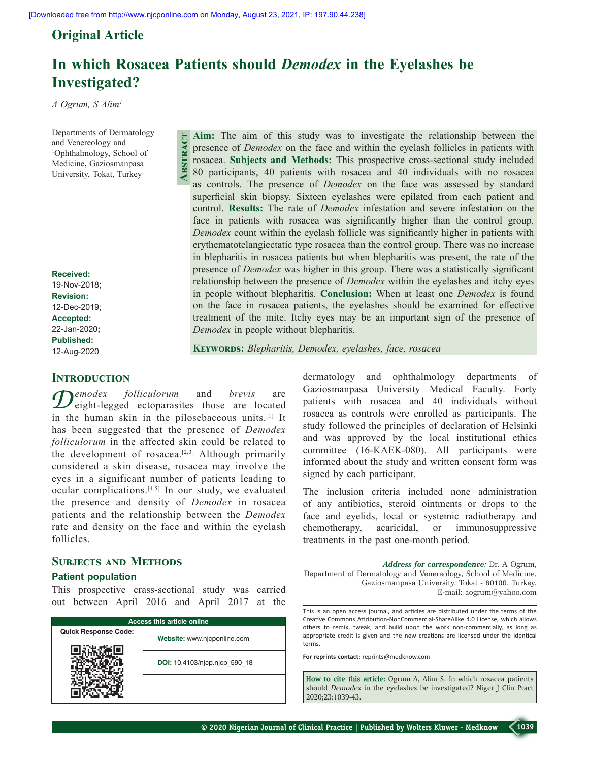**Abstract**

## **Original Article**

# **In which Rosacea Patients should** *Demodex* **in the Eyelashes be Investigated?**

*A Ogrum, S Alim1*

Departments of Dermatology and Venereology and 1 Ophthalmology, School of Medicine**,** Gaziosmanpasa University, Tokat, Turkey

**Received:** 19-Nov-2018; **Revision:** 12-Dec-2019; **Accepted:** 22-Jan-2020**; Published:** 12-Aug-2020

## **INTRODUCTION**

 $\mathcal{D}^{emodex}$  *folliculorum* and *brevis* are eight-legged ectoparasites those are located in the human skin in the pilosebaceous units.[1] It has been suggested that the presence of *Demodex folliculorum* in the affected skin could be related to the development of rosacea.<sup>[2,3]</sup> Although primarily considered a skin disease, rosacea may involve the eyes in a significant number of patients leading to ocular complications.[4,5] In our study, we evaluated the presence and density of *Demodex* in rosacea patients and the relationship between the *Demodex*  rate and density on the face and within the eyelash follicles.

## **Subjects and Methods**

## **Patient population**

This prospective crass-sectional study was carried out between April 2016 and April 2017 at the

| <b>Access this article online</b> |                               |  |  |  |  |
|-----------------------------------|-------------------------------|--|--|--|--|
| <b>Quick Response Code:</b>       | Website: www.njcponline.com   |  |  |  |  |
|                                   | DOI: 10.4103/njcp.njcp 590 18 |  |  |  |  |
|                                   |                               |  |  |  |  |

**Aim:** The aim of this study was to investigate the relationship between the presence of *Demodex* on the face and within the eyelash follicles in patients with rosacea. **Subjects and Methods:** This prospective cross‑sectional study included 80 participants, 40 patients with rosacea and 40 individuals with no rosacea as controls. The presence of *Demodex* on the face was assessed by standard superficial skin biopsy. Sixteen eyelashes were epilated from each patient and control. **Results:** The rate of *Demodex* infestation and severe infestation on the face in patients with rosacea was significantly higher than the control group. *Demodex* count within the eyelash follicle was significantly higher in patients with erythematotelangiectatic type rosacea than the control group. There was no increase in blepharitis in rosacea patients but when blepharitis was present, the rate of the presence of *Demodex* was higher in this group. There was a statistically significant relationship between the presence of *Demodex* within the eyelashes and itchy eyes in people without blepharitis. **Conclusion:** When at least one *Demodex* is found on the face in rosacea patients, the eyelashes should be examined for effective treatment of the mite. Itchy eyes may be an important sign of the presence of *Demodex* in people without blepharitis.

**Keywords:** *Blepharitis, Demodex, eyelashes, face, rosacea*

dermatology and ophthalmology departments of Gaziosmanpasa University Medical Faculty. Forty patients with rosacea and 40 individuals without rosacea as controls were enrolled as participants. The study followed the principles of declaration of Helsinki and was approved by the local institutional ethics committee (16‑KAEK‑080). All participants were informed about the study and written consent form was signed by each participant.

The inclusion criteria included none administration of any antibiotics, steroid ointments or drops to the face and eyelids, local or systemic radiotherapy and chemotherapy, acaricidal, or immunosuppressive treatments in the past one‑month period.

*Address for correspondence:* Dr. A Ogrum, Department of Dermatology and Venereology, School of Medicine, Gaziosmanpasa University, Tokat ‑ 60100, Turkey. E‑mail: aogrum@yahoo.com

This is an open access journal, and articles are distributed under the terms of the Creative Commons Attribution‑NonCommercial‑ShareAlike 4.0 License, which allows others to remix, tweak, and build upon the work non‑commercially, as long as appropriate credit is given and the new creations are licensed under the identical terms.

**For reprints contact:** reprints@medknow.com

**How to cite this article:** Ogrum A, Alim S. In which rosacea patients should *Demodex* in the eyelashes be investigated? Niger J Clin Pract 2020;23:1039-43.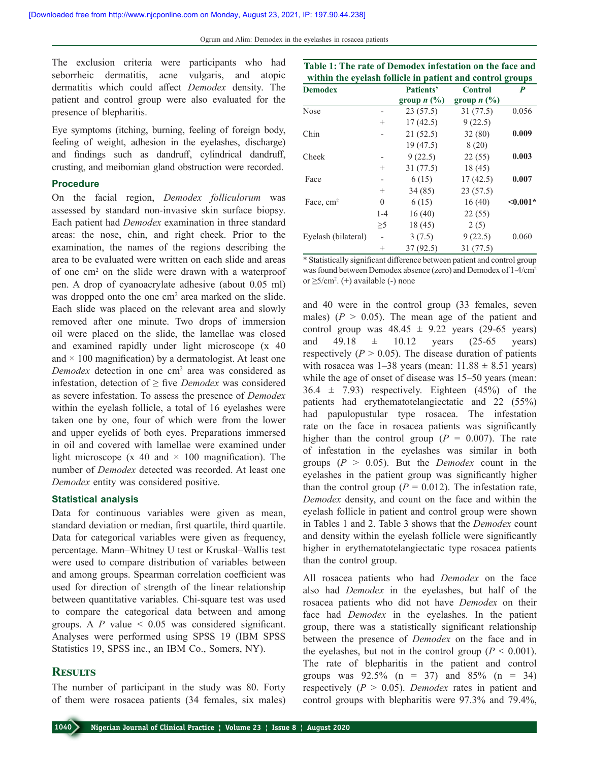The exclusion criteria were participants who had seborrheic dermatitis, acne vulgaris, and atopic dermatitis which could affect *Demodex* density. The patient and control group were also evaluated for the presence of blepharitis.

Eye symptoms (itching, burning, feeling of foreign body, feeling of weight, adhesion in the eyelashes, discharge) and findings such as dandruff, cylindrical dandruff, crusting, and meibomian gland obstruction were recorded.

#### **Procedure**

On the facial region, *Demodex folliculorum* was assessed by standard non‑invasive skin surface biopsy. Each patient had *Demodex* examination in three standard areas: the nose, chin, and right cheek. Prior to the examination, the names of the regions describing the area to be evaluated were written on each slide and areas of one cm2 on the slide were drawn with a waterproof pen. A drop of cyanoacrylate adhesive (about 0.05 ml) was dropped onto the one  $\text{cm}^2$  area marked on the slide. Each slide was placed on the relevant area and slowly removed after one minute. Two drops of immersion oil were placed on the slide, the lamellae was closed and examined rapidly under light microscope (x 40 and  $\times$  100 magnification) by a dermatologist. At least one Demodex detection in one cm<sup>2</sup> area was considered as infestation, detection of ≥ five *Demodex* was considered as severe infestation. To assess the presence of *Demodex* within the eyelash follicle, a total of 16 eyelashes were taken one by one, four of which were from the lower and upper eyelids of both eyes. Preparations immersed in oil and covered with lamellae were examined under light microscope (x 40 and  $\times$  100 magnification). The number of *Demodex* detected was recorded. At least one *Demodex* entity was considered positive.

#### **Statistical analysis**

Data for continuous variables were given as mean, standard deviation or median, first quartile, third quartile. Data for categorical variables were given as frequency, percentage. Mann–Whitney U test or Kruskal–Wallis test were used to compare distribution of variables between and among groups. Spearman correlation coefficient was used for direction of strength of the linear relationship between quantitative variables. Chi‑square test was used to compare the categorical data between and among groups. A  $P$  value  $\leq 0.05$  was considered significant. Analyses were performed using SPSS 19 (IBM SPSS Statistics 19, SPSS inc., an IBM Co., Somers, NY).

### **Results**

The number of participant in the study was 80. Forty of them were rosacea patients (34 females, six males)

| Table 1: The rate of Demodex infestation on the face and<br>within the eyelash follicle in patient and control groups |          |                                                   |                                    |               |  |  |
|-----------------------------------------------------------------------------------------------------------------------|----------|---------------------------------------------------|------------------------------------|---------------|--|--|
| <b>Demodex</b>                                                                                                        |          | Patients'<br>group $n$ $\left(\frac{9}{6}\right)$ | <b>Control</b><br>group $n$ $(\%)$ | P             |  |  |
| <b>Nose</b>                                                                                                           |          | 23(57.5)                                          | 31 (77.5)                          | 0.056         |  |  |
|                                                                                                                       | $^{+}$   | 17(42.5)                                          | 9(22.5)                            |               |  |  |
| Chin                                                                                                                  |          | 21(52.5)                                          | 32(80)                             | 0.009         |  |  |
|                                                                                                                       |          | 19(47.5)                                          | 8(20)                              |               |  |  |
| Cheek                                                                                                                 |          | 9(22.5)                                           | 22(55)                             | 0.003         |  |  |
|                                                                                                                       | $^{+}$   | 31 (77.5)                                         | 18 (45)                            |               |  |  |
| Face                                                                                                                  |          | 6(15)                                             | 17(42.5)                           | 0.007         |  |  |
|                                                                                                                       | $^{+}$   | 34(85)                                            | 23(57.5)                           |               |  |  |
| Face, $cm2$                                                                                                           | $\Omega$ | 6(15)                                             | 16(40)                             | $\leq 0.001*$ |  |  |
|                                                                                                                       | $1 - 4$  | 16(40)                                            | 22(55)                             |               |  |  |
|                                                                                                                       | $\geq 5$ | 18(45)                                            | 2(5)                               |               |  |  |
| Eyelash (bilateral)                                                                                                   |          | 3(7.5)                                            | 9(22.5)                            | 0.060         |  |  |
|                                                                                                                       | $^{+}$   | 37(92.5)                                          | 31 (77.5)                          |               |  |  |

\* Statistically significant difference between patient and control group was found between Demodex absence (zero) and Demodex of 1-4/cm<sup>2</sup> or ≥5/cm<sup>2</sup> . (+) available (‑) none

and 40 were in the control group (33 females, seven males)  $(P > 0.05)$ . The mean age of the patient and control group was  $48.45 \pm 9.22$  years (29-65 years) and 49.18  $\pm$  10.12 years (25-65 years) respectively  $(P > 0.05)$ . The disease duration of patients with rosacea was  $1-38$  years (mean:  $11.88 \pm 8.51$  years) while the age of onset of disease was 15–50 years (mean:  $36.4 \pm 7.93$ ) respectively. Eighteen  $(45\%)$  of the patients had erythematotelangiectatic and 22 (55%) had papulopustular type rosacea. The infestation rate on the face in rosacea patients was significantly higher than the control group  $(P = 0.007)$ . The rate of infestation in the eyelashes was similar in both groups (*P* > 0.05). But the *Demodex* count in the eyelashes in the patient group was significantly higher than the control group ( $P = 0.012$ ). The infestation rate, *Demodex* density, and count on the face and within the eyelash follicle in patient and control group were shown in Tables 1 and 2. Table 3 shows that the *Demodex* count and density within the eyelash follicle were significantly higher in erythematotelangiectatic type rosacea patients than the control group.

All rosacea patients who had *Demodex* on the face also had *Demodex* in the eyelashes, but half of the rosacea patients who did not have *Demodex* on their face had *Demodex* in the eyelashes. In the patient group, there was a statistically significant relationship between the presence of *Demodex* on the face and in the eyelashes, but not in the control group  $(P < 0.001)$ . The rate of blepharitis in the patient and control groups was  $92.5\%$  (n = 37) and  $85\%$  (n = 34) respectively (*P* > 0.05). *Demodex* rates in patient and control groups with blepharitis were 97.3% and 79.4%,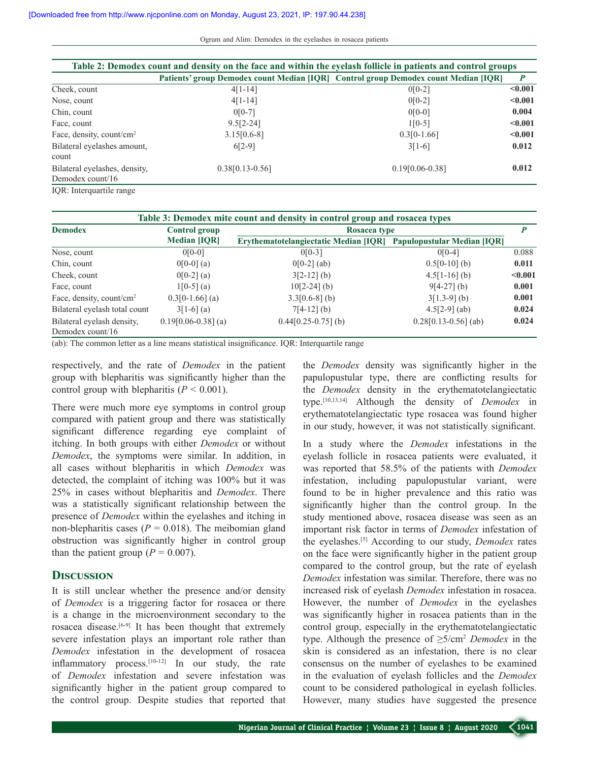| Table 2: Demodex count and density on the face and within the eyelash follicle in patients and control groups |                                                                                     |                    |         |  |  |  |  |
|---------------------------------------------------------------------------------------------------------------|-------------------------------------------------------------------------------------|--------------------|---------|--|--|--|--|
|                                                                                                               | Patients' group Demodex count Median [IQR] Control group Demodex count Median [IQR] |                    | P       |  |  |  |  |
| Cheek, count                                                                                                  | $4[1-14]$                                                                           | $0[0-2]$           | < 0.001 |  |  |  |  |
| Nose, count                                                                                                   | $4[1-14]$                                                                           | $0[0-2]$           | < 0.001 |  |  |  |  |
| Chin, count                                                                                                   | $0[0-7]$                                                                            | $0[0-0]$           | 0.004   |  |  |  |  |
| Face, count                                                                                                   | $9.5[2-24]$                                                                         | $1[0-5]$           | < 0.001 |  |  |  |  |
| Face, density, count/cm <sup>2</sup>                                                                          | $3.15[0.6-8]$                                                                       | $0.3[0-1.66]$      | < 0.001 |  |  |  |  |
| Bilateral eyelashes amount,                                                                                   | $6[2-9]$                                                                            | $3[1-6]$           | 0.012   |  |  |  |  |
| count                                                                                                         |                                                                                     |                    |         |  |  |  |  |
| Bilateral eyelashes, density,                                                                                 | $0.38[0.13-0.56]$                                                                   | $0.19$ [0.06-0.38] | 0.012   |  |  |  |  |
| Demodex count/16                                                                                              |                                                                                     |                    |         |  |  |  |  |
| IOR: Interquartile range                                                                                      |                                                                                     |                    |         |  |  |  |  |

| Table 3: Demodex mite count and density in control group and rosacea types |                                             |                                              |                                    |         |  |  |  |  |
|----------------------------------------------------------------------------|---------------------------------------------|----------------------------------------------|------------------------------------|---------|--|--|--|--|
| <b>Demodex</b>                                                             | <b>Control group</b><br><b>Median [IQR]</b> | Rosacea type                                 |                                    |         |  |  |  |  |
|                                                                            |                                             | <b>Erythematotelangiectatic Median [IQR]</b> | <b>Papulopustular Median [IQR]</b> |         |  |  |  |  |
| Nose, count                                                                | $0[0-0]$                                    | $0[0-3]$                                     | $0[0-4]$                           | 0.088   |  |  |  |  |
| Chin, count                                                                | $0[0-0]$ (a)                                | $0[0-2]$ (ab)                                | $0.5[0-10]$ (b)                    | 0.011   |  |  |  |  |
| Cheek, count                                                               | $0[0-2]$ (a)                                | $3[2-12]$ (b)                                | $4.5[1-16]$ (b)                    | < 0.001 |  |  |  |  |
| Face, count                                                                | $1[0-5]$ (a)                                | $10[2-24]$ (b)                               | $9[4-27]$ (b)                      | 0.001   |  |  |  |  |
| Face, density, count/cm <sup>2</sup>                                       | $0.3[0-1.66]$ (a)                           | $3.3[0.6-8]$ (b)                             | $3[1.3-9]$ (b)                     | 0.001   |  |  |  |  |
| Bilateral eyelash total count                                              | $3[1-6]$ (a)                                | $7[4-12]$ (b)                                | $4.5[2-9]$ (ab)                    | 0.024   |  |  |  |  |
| Bilateral eyelash density,<br>Demodex count/ $16$                          | $0.19[0.06-0.38]$ (a)                       | $0.44[0.25-0.75]$ (b)                        | $0.28[0.13-0.56]$ (ab)             | 0.024   |  |  |  |  |

(ab): The common letter as a line means statistical insignificance. IQR: Interquartile range

respectively, and the rate of *Demodex* in the patient group with blepharitis was significantly higher than the control group with blepharitis  $(P < 0.001)$ .

There were much more eye symptoms in control group compared with patient group and there was statistically significant difference regarding eye complaint of itching. In both groups with either *Demodex* or without *Demodex*, the symptoms were similar. In addition, in all cases without blepharitis in which *Demodex* was detected, the complaint of itching was 100% but it was 25% in cases without blepharitis and *Demodex*. There was a statistically significant relationship between the presence of *Demodex* within the eyelashes and itching in non-blepharitis cases ( $P = 0.018$ ). The meibomian gland obstruction was significantly higher in control group than the patient group  $(P = 0.007)$ .

#### **Discussion**

It is still unclear whether the presence and/or density of *Demodex* is a triggering factor for rosacea or there is a change in the microenvironment secondary to the rosacea disease.[6‑9] It has been thought that extremely severe infestation plays an important role rather than *Demodex* infestation in the development of rosacea inflammatory process.<sup>[10-12]</sup> In our study, the rate of *Demodex* infestation and severe infestation was significantly higher in the patient group compared to the control group. Despite studies that reported that

the *Demodex* density was significantly higher in the papulopustular type, there are conflicting results for the *Demodex* density in the erythematotelangiectatic type.[10,13,14] Although the density of *Demodex* in erythematotelangiectatic type rosacea was found higher in our study, however, it was not statistically significant.

In a study where the *Demodex* infestations in the eyelash follicle in rosacea patients were evaluated, it was reported that 58.5% of the patients with *Demodex* infestation, including papulopustular variant, were found to be in higher prevalence and this ratio was significantly higher than the control group. In the study mentioned above, rosacea disease was seen as an important risk factor in terms of *Demodex* infestation of the eyelashes.[5] According to our study, *Demodex* rates on the face were significantly higher in the patient group compared to the control group, but the rate of eyelash *Demodex* infestation was similar. Therefore, there was no increased risk of eyelash *Demodex* infestation in rosacea. However, the number of *Demodex* in the eyelashes was significantly higher in rosacea patients than in the control group, especially in the erythematotelangiectatic type. Although the presence of ≥5/cm<sup>2</sup>  *Demodex* in the skin is considered as an infestation, there is no clear consensus on the number of eyelashes to be examined in the evaluation of eyelash follicles and the *Demodex* count to be considered pathological in eyelash follicles. However, many studies have suggested the presence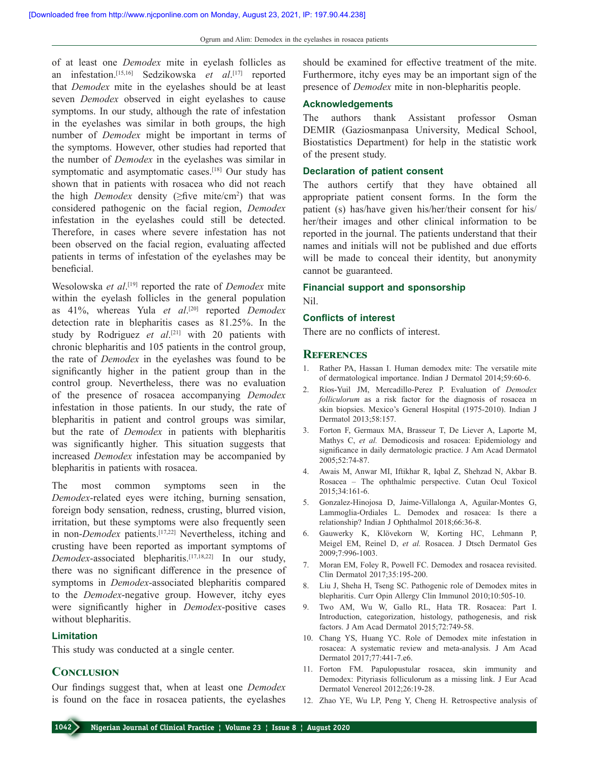of at least one *Demodex* mite in eyelash follicles as an infestation.[15,16] Sedzikowska *et al*. [17] reported that *Demodex* mite in the eyelashes should be at least seven *Demodex* observed in eight eyelashes to cause symptoms. In our study, although the rate of infestation in the eyelashes was similar in both groups, the high number of *Demodex* might be important in terms of the symptoms. However, other studies had reported that the number of *Demodex* in the eyelashes was similar in symptomatic and asymptomatic cases.<sup>[18]</sup> Our study has shown that in patients with rosacea who did not reach the high *Demodex* density (≥five mite/cm<sup>2</sup> ) that was considered pathogenic on the facial region, *Demodex*  infestation in the eyelashes could still be detected. Therefore, in cases where severe infestation has not been observed on the facial region, evaluating affected patients in terms of infestation of the eyelashes may be beneficial.

Wesolowska *et al*. [19] reported the rate of *Demodex* mite within the eyelash follicles in the general population as 41%, whereas Yula *et al*. [20] reported *Demodex* detection rate in blepharitis cases as 81.25%. In the study by Rodriguez *et al*. [21] with 20 patients with chronic blepharitis and 105 patients in the control group, the rate of *Demodex* in the eyelashes was found to be significantly higher in the patient group than in the control group. Nevertheless, there was no evaluation of the presence of rosacea accompanying *Demodex*  infestation in those patients. In our study, the rate of blepharitis in patient and control groups was similar, but the rate of *Demodex* in patients with blepharitis was significantly higher. This situation suggests that increased *Demodex* infestation may be accompanied by blepharitis in patients with rosacea.

The most common symptoms seen in the *Demodex*‑related eyes were itching, burning sensation, foreign body sensation, redness, crusting, blurred vision, irritation, but these symptoms were also frequently seen in non-*Demodex* patients.<sup>[17,22]</sup> Nevertheless, itching and crusting have been reported as important symptoms of *Demodex*‑associated blepharitis.[17,18,22] In our study, there was no significant difference in the presence of symptoms in *Demodex*‑associated blepharitis compared to the *Demodex*‑negative group. However, itchy eyes were significantly higher in *Demodex*‑positive cases without blepharitis.

#### **Limitation**

This study was conducted at a single center.

#### **Conclusion**

Our findings suggest that, when at least one *Demodex*  is found on the face in rosacea patients, the eyelashes should be examined for effective treatment of the mite. Furthermore, itchy eyes may be an important sign of the presence of *Demodex* mite in non-blepharitis people.

#### **Acknowledgements**

The authors thank Assistant professor Osman DEMIR (Gaziosmanpasa University, Medical School, Biostatistics Department) for help in the statistic work of the present study.

#### **Declaration of patient consent**

The authors certify that they have obtained all appropriate patient consent forms. In the form the patient (s) has/have given his/her/their consent for his/ her/their images and other clinical information to be reported in the journal. The patients understand that their names and initials will not be published and due efforts will be made to conceal their identity, but anonymity cannot be guaranteed.

## **Financial support and sponsorship**

Nil.

#### **Conflicts of interest**

There are no conflicts of interest.

#### **References**

- 1. Rather PA, Hassan I. Human demodex mite: The versatile mite of dermatological importance. Indian J Dermatol 2014;59:60‑6.
- 2. Ríos‑Yuil JM, Mercadillo‑Perez P. Evaluation of *Demodex folliculorum* as a risk factor for the diagnosis of rosacea ın skin biopsies. Mexico's General Hospital (1975‑2010). Indian J Dermatol 2013;58:157.
- 3. Forton F, Germaux MA, Brasseur T, De Liever A, Laporte M, Mathys C, *et al.* Demodicosis and rosacea: Epidemiology and significance in daily dermatologic practice. J Am Acad Dermatol 2005;52:74‑87.
- 4. Awais M, Anwar MI, Iftikhar R, Iqbal Z, Shehzad N, Akbar B. Rosacea – The ophthalmic perspective. Cutan Ocul Toxicol 2015;34:161‑6.
- 5. Gonzalez-Hinojosa D, Jaime-Villalonga A, Aguilar-Montes G, Lammoglia‑Ordiales L. Demodex and rosacea: Is there a relationship? Indian J Ophthalmol 2018;66:36‑8.
- 6. Gauwerky K, Klövekorn W, Korting HC, Lehmann P, Meigel EM, Reinel D, *et al.* Rosacea. J Dtsch Dermatol Ges 2009;7:996‑1003.
- 7. Moran EM, Foley R, Powell FC. Demodex and rosacea revisited. Clin Dermatol 2017;35:195‑200.
- 8. Liu J, Sheha H, Tseng SC. Pathogenic role of Demodex mites in blepharitis. Curr Opin Allergy Clin Immunol 2010;10:505-10.
- 9. Two AM, Wu W, Gallo RL, Hata TR. Rosacea: Part I. Introduction, categorization, histology, pathogenesis, and risk factors. J Am Acad Dermatol 2015;72:749-58.
- 10. Chang YS, Huang YC. Role of Demodex mite infestation in rosacea: A systematic review and meta‑analysis. J Am Acad Dermatol 2017;77:441‑7.e6.
- 11. Forton FM. Papulopustular rosacea, skin immunity and Demodex: Pityriasis folliculorum as a missing link. J Eur Acad Dermatol Venereol 2012;26:19‑28.
- 12. Zhao YE, Wu LP, Peng Y, Cheng H. Retrospective analysis of